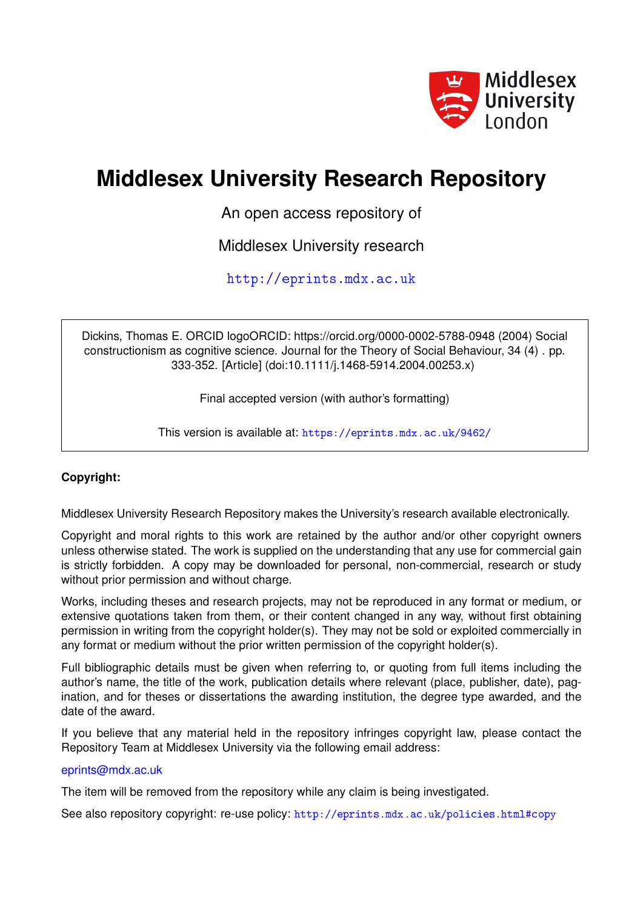

# **Middlesex University Research Repository**

An open access repository of

Middlesex University research

<http://eprints.mdx.ac.uk>

Dickins, Thomas E. ORCID logoORCID: https://orcid.org/0000-0002-5788-0948 (2004) Social constructionism as cognitive science. Journal for the Theory of Social Behaviour, 34 (4) . pp. 333-352. [Article] (doi:10.1111/j.1468-5914.2004.00253.x)

Final accepted version (with author's formatting)

This version is available at: <https://eprints.mdx.ac.uk/9462/>

### **Copyright:**

Middlesex University Research Repository makes the University's research available electronically.

Copyright and moral rights to this work are retained by the author and/or other copyright owners unless otherwise stated. The work is supplied on the understanding that any use for commercial gain is strictly forbidden. A copy may be downloaded for personal, non-commercial, research or study without prior permission and without charge.

Works, including theses and research projects, may not be reproduced in any format or medium, or extensive quotations taken from them, or their content changed in any way, without first obtaining permission in writing from the copyright holder(s). They may not be sold or exploited commercially in any format or medium without the prior written permission of the copyright holder(s).

Full bibliographic details must be given when referring to, or quoting from full items including the author's name, the title of the work, publication details where relevant (place, publisher, date), pagination, and for theses or dissertations the awarding institution, the degree type awarded, and the date of the award.

If you believe that any material held in the repository infringes copyright law, please contact the Repository Team at Middlesex University via the following email address:

#### [eprints@mdx.ac.uk](mailto:eprints@mdx.ac.uk)

The item will be removed from the repository while any claim is being investigated.

See also repository copyright: re-use policy: <http://eprints.mdx.ac.uk/policies.html#copy>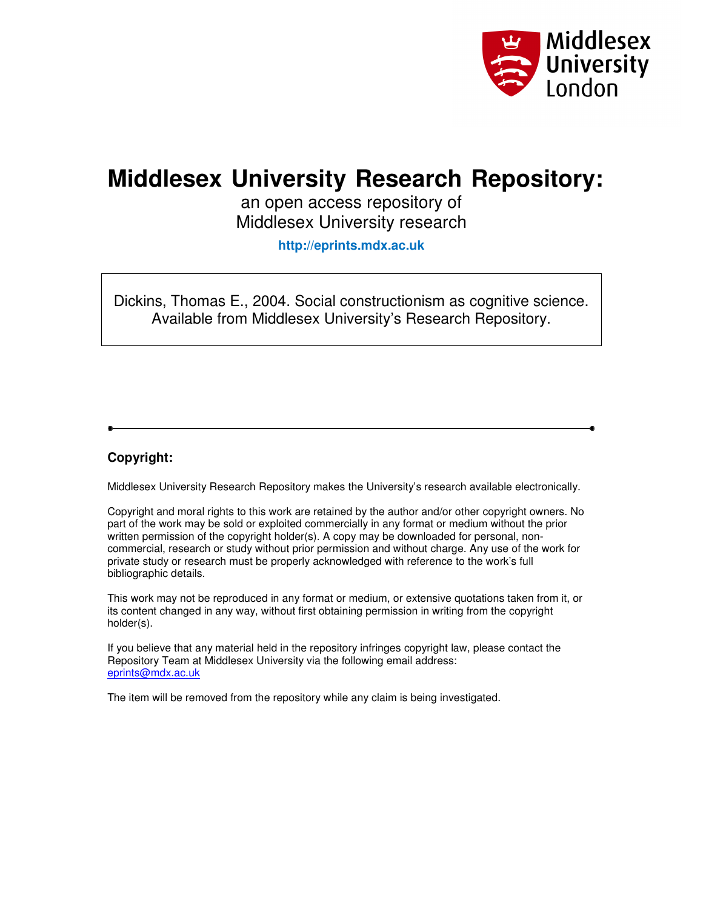

# **Middlesex University Research Repository:**

an open access repository of Middlesex University research

**http://eprints.mdx.ac.uk** 

Dickins, Thomas E., 2004. Social constructionism as cognitive science. Available from Middlesex University's Research Repository.

### **Copyright:**

Middlesex University Research Repository makes the University's research available electronically.

Copyright and moral rights to this work are retained by the author and/or other copyright owners. No part of the work may be sold or exploited commercially in any format or medium without the prior written permission of the copyright holder(s). A copy may be downloaded for personal, noncommercial, research or study without prior permission and without charge. Any use of the work for private study or research must be properly acknowledged with reference to the work's full bibliographic details.

This work may not be reproduced in any format or medium, or extensive quotations taken from it, or its content changed in any way, without first obtaining permission in writing from the copyright holder(s).

If you believe that any material held in the repository infringes copyright law, please contact the Repository Team at Middlesex University via the following email address: eprints@mdx.ac.uk

The item will be removed from the repository while any claim is being investigated.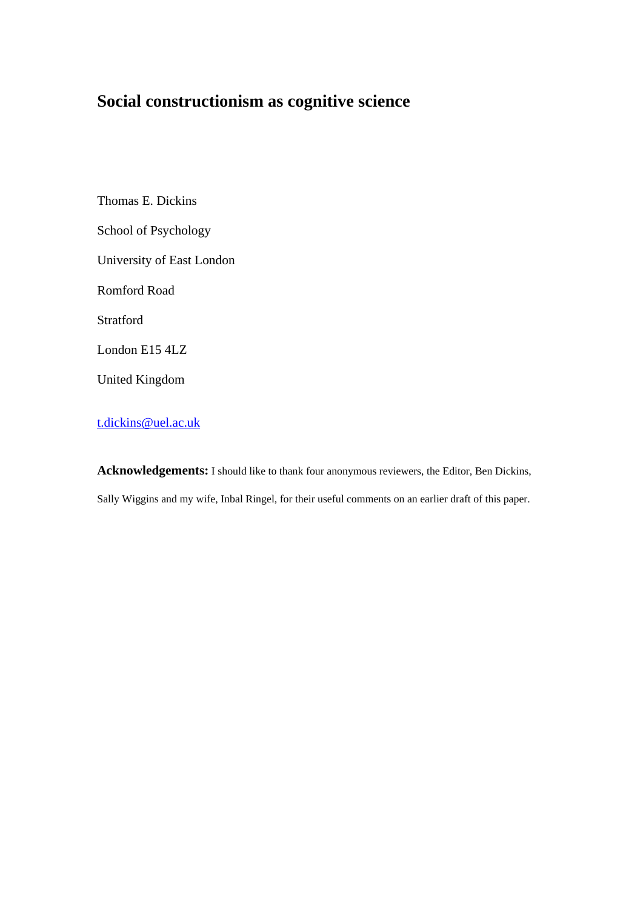# **Social constructionism as cognitive science**

Thomas E. Dickins School of Psychology University of East London Romford Road Stratford London E15 4LZ United Kingdom

[t.dickins@uel.ac.uk](mailto:t.dickins@uel.ac.uk)

**Acknowledgements:** I should like to thank four anonymous reviewers, the Editor, Ben Dickins, Sally Wiggins and my wife, Inbal Ringel, for their useful comments on an earlier draft of this paper.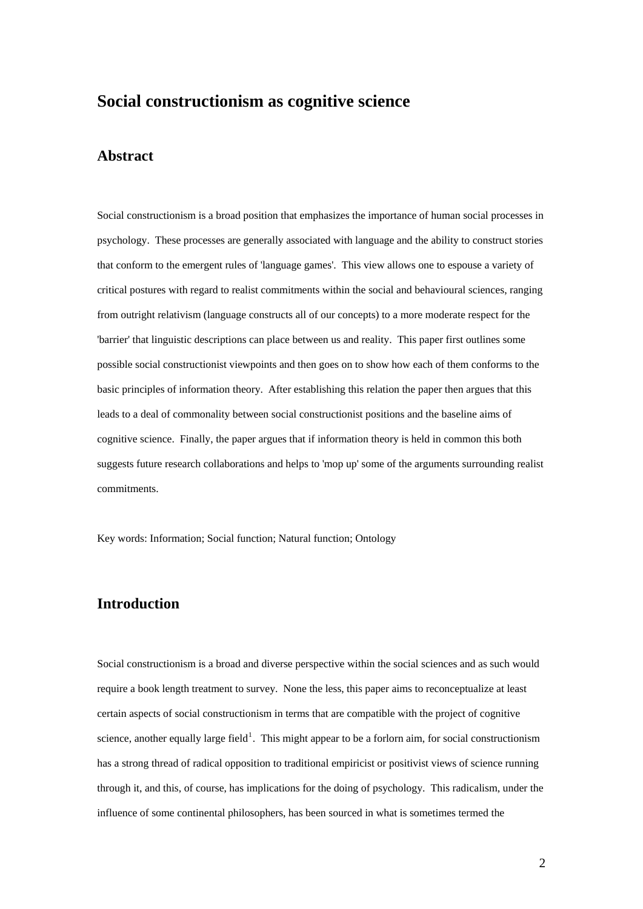# **Social constructionism as cognitive science**

#### **Abstract**

Social constructionism is a broad position that emphasizes the importance of human social processes in psychology. These processes are generally associated with language and the ability to construct stories that conform to the emergent rules of 'language games'. This view allows one to espouse a variety of critical postures with regard to realist commitments within the social and behavioural sciences, ranging from outright relativism (language constructs all of our concepts) to a more moderate respect for the 'barrier' that linguistic descriptions can place between us and reality. This paper first outlines some possible social constructionist viewpoints and then goes on to show how each of them conforms to the basic principles of information theory. After establishing this relation the paper then argues that this leads to a deal of commonality between social constructionist positions and the baseline aims of cognitive science. Finally, the paper argues that if information theory is held in common this both suggests future research collaborations and helps to 'mop up' some of the arguments surrounding realist commitments.

Key words: Information; Social function; Natural function; Ontology

# **Introduction**

Social constructionism is a broad and diverse perspective within the social sciences and as such would require a book length treatment to survey. None the less, this paper aims to reconceptualize at least certain aspects of social constructionism in terms that are compatible with the project of cognitive science, another equally large field<sup>[1](#page-28-0)</sup>. This might appear to be a forlorn aim, for social constructionism has a strong thread of radical opposition to traditional empiricist or positivist views of science running through it, and this, of course, has implications for the doing of psychology. This radicalism, under the influence of some continental philosophers, has been sourced in what is sometimes termed the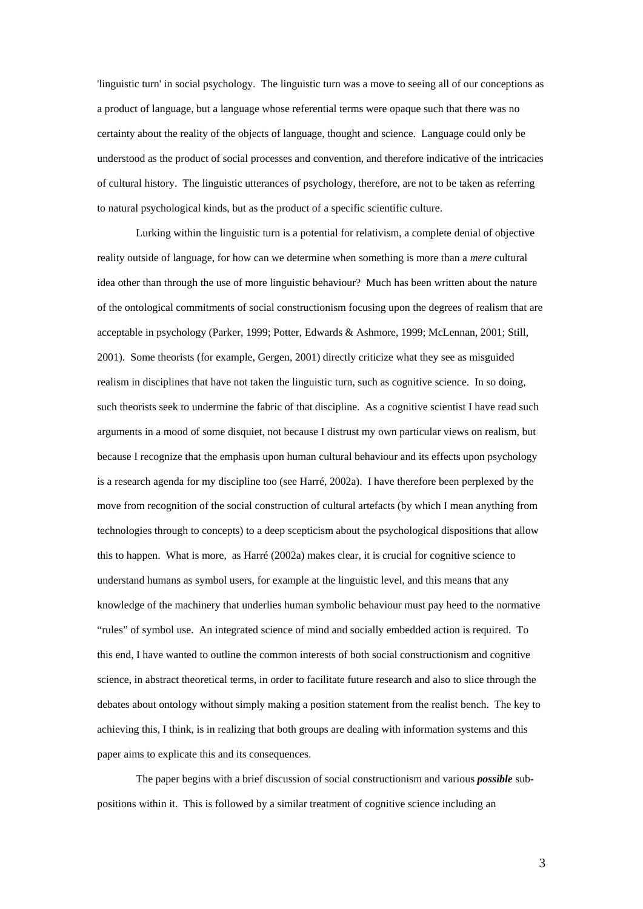'linguistic turn' in social psychology. The linguistic turn was a move to seeing all of our conceptions as a product of language, but a language whose referential terms were opaque such that there was no certainty about the reality of the objects of language, thought and science. Language could only be understood as the product of social processes and convention, and therefore indicative of the intricacies of cultural history. The linguistic utterances of psychology, therefore, are not to be taken as referring to natural psychological kinds, but as the product of a specific scientific culture.

Lurking within the linguistic turn is a potential for relativism, a complete denial of objective reality outside of language, for how can we determine when something is more than a *mere* cultural idea other than through the use of more linguistic behaviour? Much has been written about the nature of the ontological commitments of social constructionism focusing upon the degrees of realism that are acceptable in psychology (Parker, 1999; Potter, Edwards & Ashmore, 1999; McLennan, 2001; Still, 2001). Some theorists (for example, Gergen, 2001) directly criticize what they see as misguided realism in disciplines that have not taken the linguistic turn, such as cognitive science. In so doing, such theorists seek to undermine the fabric of that discipline. As a cognitive scientist I have read such arguments in a mood of some disquiet, not because I distrust my own particular views on realism, but because I recognize that the emphasis upon human cultural behaviour and its effects upon psychology is a research agenda for my discipline too (see Harré, 2002a). I have therefore been perplexed by the move from recognition of the social construction of cultural artefacts (by which I mean anything from technologies through to concepts) to a deep scepticism about the psychological dispositions that allow this to happen. What is more, as Harré (2002a) makes clear, it is crucial for cognitive science to understand humans as symbol users, for example at the linguistic level, and this means that any knowledge of the machinery that underlies human symbolic behaviour must pay heed to the normative "rules" of symbol use. An integrated science of mind and socially embedded action is required. To this end, I have wanted to outline the common interests of both social constructionism and cognitive science, in abstract theoretical terms, in order to facilitate future research and also to slice through the debates about ontology without simply making a position statement from the realist bench. The key to achieving this, I think, is in realizing that both groups are dealing with information systems and this paper aims to explicate this and its consequences.

The paper begins with a brief discussion of social constructionism and various *possible* subpositions within it. This is followed by a similar treatment of cognitive science including an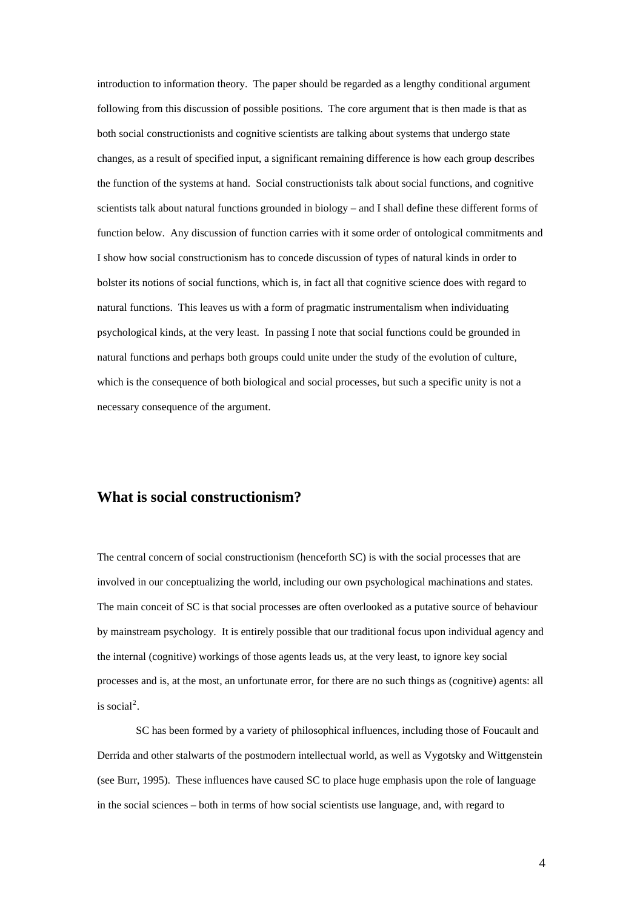introduction to information theory. The paper should be regarded as a lengthy conditional argument following from this discussion of possible positions. The core argument that is then made is that as both social constructionists and cognitive scientists are talking about systems that undergo state changes, as a result of specified input, a significant remaining difference is how each group describes the function of the systems at hand. Social constructionists talk about social functions, and cognitive scientists talk about natural functions grounded in biology – and I shall define these different forms of function below. Any discussion of function carries with it some order of ontological commitments and I show how social constructionism has to concede discussion of types of natural kinds in order to bolster its notions of social functions, which is, in fact all that cognitive science does with regard to natural functions. This leaves us with a form of pragmatic instrumentalism when individuating psychological kinds, at the very least. In passing I note that social functions could be grounded in natural functions and perhaps both groups could unite under the study of the evolution of culture, which is the consequence of both biological and social processes, but such a specific unity is not a necessary consequence of the argument.

#### **What is social constructionism?**

The central concern of social constructionism (henceforth SC) is with the social processes that are involved in our conceptualizing the world, including our own psychological machinations and states. The main conceit of SC is that social processes are often overlooked as a putative source of behaviour by mainstream psychology. It is entirely possible that our traditional focus upon individual agency and the internal (cognitive) workings of those agents leads us, at the very least, to ignore key social processes and is, at the most, an unfortunate error, for there are no such things as (cognitive) agents: all is social<sup>[2](#page-28-1)</sup>.

SC has been formed by a variety of philosophical influences, including those of Foucault and Derrida and other stalwarts of the postmodern intellectual world, as well as Vygotsky and Wittgenstein (see Burr, 1995). These influences have caused SC to place huge emphasis upon the role of language in the social sciences – both in terms of how social scientists use language, and, with regard to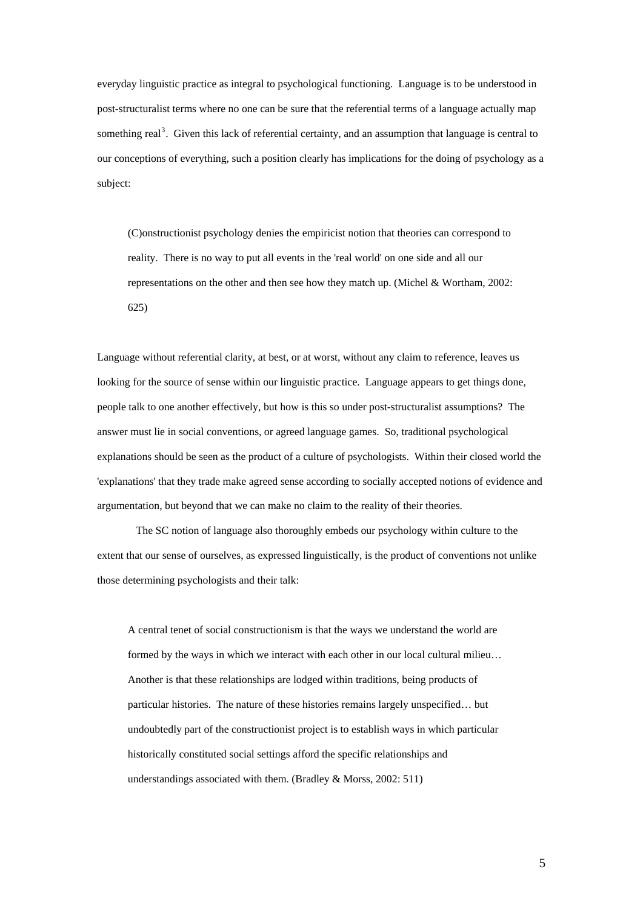everyday linguistic practice as integral to psychological functioning. Language is to be understood in post-structuralist terms where no one can be sure that the referential terms of a language actually map something real<sup>[3](#page-28-2)</sup>. Given this lack of referential certainty, and an assumption that language is central to our conceptions of everything, such a position clearly has implications for the doing of psychology as a subject:

(C)onstructionist psychology denies the empiricist notion that theories can correspond to reality. There is no way to put all events in the 'real world' on one side and all our representations on the other and then see how they match up. (Michel & Wortham, 2002: 625)

Language without referential clarity, at best, or at worst, without any claim to reference, leaves us looking for the source of sense within our linguistic practice. Language appears to get things done, people talk to one another effectively, but how is this so under post-structuralist assumptions? The answer must lie in social conventions, or agreed language games. So, traditional psychological explanations should be seen as the product of a culture of psychologists. Within their closed world the 'explanations' that they trade make agreed sense according to socially accepted notions of evidence and argumentation, but beyond that we can make no claim to the reality of their theories.

The SC notion of language also thoroughly embeds our psychology within culture to the extent that our sense of ourselves, as expressed linguistically, is the product of conventions not unlike those determining psychologists and their talk:

A central tenet of social constructionism is that the ways we understand the world are formed by the ways in which we interact with each other in our local cultural milieu… Another is that these relationships are lodged within traditions, being products of particular histories. The nature of these histories remains largely unspecified… but undoubtedly part of the constructionist project is to establish ways in which particular historically constituted social settings afford the specific relationships and understandings associated with them. (Bradley & Morss, 2002: 511)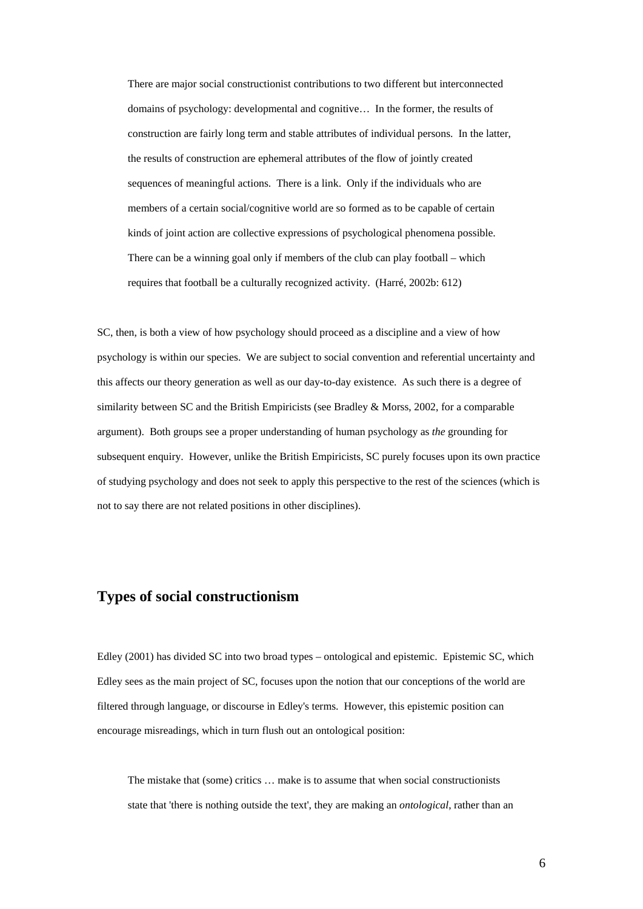There are major social constructionist contributions to two different but interconnected domains of psychology: developmental and cognitive… In the former, the results of construction are fairly long term and stable attributes of individual persons. In the latter, the results of construction are ephemeral attributes of the flow of jointly created sequences of meaningful actions. There is a link. Only if the individuals who are members of a certain social/cognitive world are so formed as to be capable of certain kinds of joint action are collective expressions of psychological phenomena possible. There can be a winning goal only if members of the club can play football – which requires that football be a culturally recognized activity. (Harré, 2002b: 612)

SC, then, is both a view of how psychology should proceed as a discipline and a view of how psychology is within our species. We are subject to social convention and referential uncertainty and this affects our theory generation as well as our day-to-day existence. As such there is a degree of similarity between SC and the British Empiricists (see Bradley & Morss, 2002, for a comparable argument). Both groups see a proper understanding of human psychology as *the* grounding for subsequent enquiry. However, unlike the British Empiricists, SC purely focuses upon its own practice of studying psychology and does not seek to apply this perspective to the rest of the sciences (which is not to say there are not related positions in other disciplines).

# **Types of social constructionism**

Edley (2001) has divided SC into two broad types – ontological and epistemic. Epistemic SC, which Edley sees as the main project of SC, focuses upon the notion that our conceptions of the world are filtered through language, or discourse in Edley's terms. However, this epistemic position can encourage misreadings, which in turn flush out an ontological position:

The mistake that (some) critics … make is to assume that when social constructionists state that 'there is nothing outside the text', they are making an *ontological*, rather than an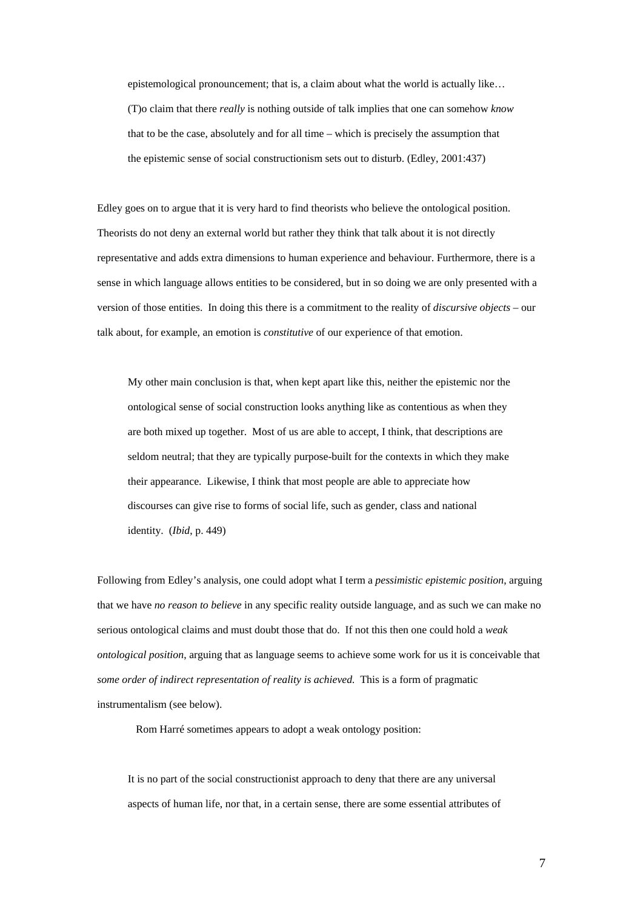epistemological pronouncement; that is, a claim about what the world is actually like… (T)o claim that there *really* is nothing outside of talk implies that one can somehow *know* that to be the case, absolutely and for all time – which is precisely the assumption that the epistemic sense of social constructionism sets out to disturb. (Edley, 2001:437)

Edley goes on to argue that it is very hard to find theorists who believe the ontological position. Theorists do not deny an external world but rather they think that talk about it is not directly representative and adds extra dimensions to human experience and behaviour. Furthermore, there is a sense in which language allows entities to be considered, but in so doing we are only presented with a version of those entities. In doing this there is a commitment to the reality of *discursive objects* – our talk about, for example, an emotion is *constitutive* of our experience of that emotion.

My other main conclusion is that, when kept apart like this, neither the epistemic nor the ontological sense of social construction looks anything like as contentious as when they are both mixed up together. Most of us are able to accept, I think, that descriptions are seldom neutral; that they are typically purpose-built for the contexts in which they make their appearance. Likewise, I think that most people are able to appreciate how discourses can give rise to forms of social life, such as gender, class and national identity. (*Ibid*, p. 449)

Following from Edley's analysis, one could adopt what I term a *pessimistic epistemic position*, arguing that we have *no reason to believe* in any specific reality outside language, and as such we can make no serious ontological claims and must doubt those that do. If not this then one could hold a *weak ontological position*, arguing that as language seems to achieve some work for us it is conceivable that *some order of indirect representation of reality is achieved.* This is a form of pragmatic instrumentalism (see below).

Rom Harré sometimes appears to adopt a weak ontology position:

It is no part of the social constructionist approach to deny that there are any universal aspects of human life, nor that, in a certain sense, there are some essential attributes of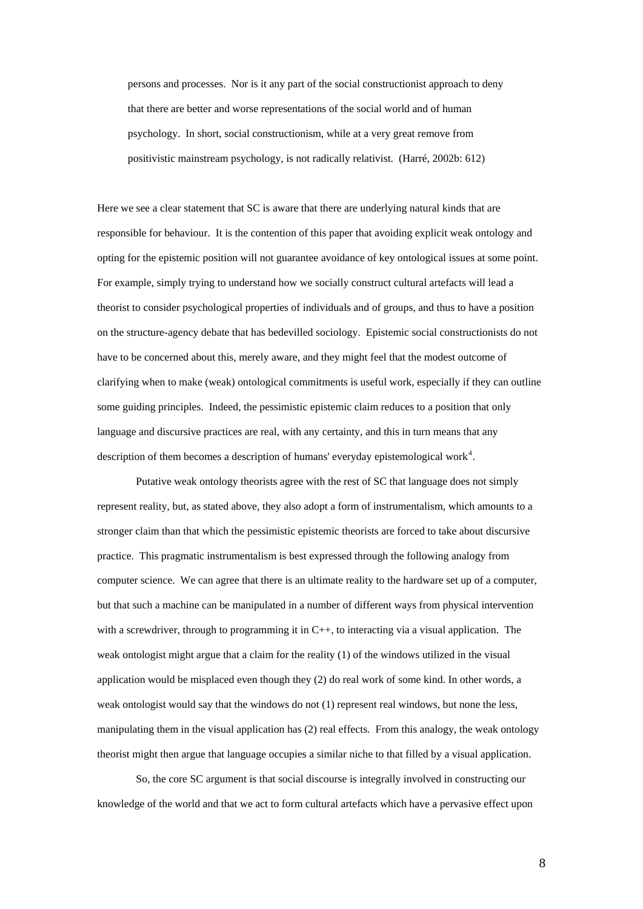persons and processes. Nor is it any part of the social constructionist approach to deny that there are better and worse representations of the social world and of human psychology. In short, social constructionism, while at a very great remove from positivistic mainstream psychology, is not radically relativist. (Harré, 2002b: 612)

Here we see a clear statement that SC is aware that there are underlying natural kinds that are responsible for behaviour. It is the contention of this paper that avoiding explicit weak ontology and opting for the epistemic position will not guarantee avoidance of key ontological issues at some point. For example, simply trying to understand how we socially construct cultural artefacts will lead a theorist to consider psychological properties of individuals and of groups, and thus to have a position on the structure-agency debate that has bedevilled sociology. Epistemic social constructionists do not have to be concerned about this, merely aware, and they might feel that the modest outcome of clarifying when to make (weak) ontological commitments is useful work, especially if they can outline some guiding principles. Indeed, the pessimistic epistemic claim reduces to a position that only language and discursive practices are real, with any certainty, and this in turn means that any description of them becomes a description of humans' everyday epistemological work<sup>[4](#page-28-3)</sup>.

Putative weak ontology theorists agree with the rest of SC that language does not simply represent reality, but, as stated above, they also adopt a form of instrumentalism, which amounts to a stronger claim than that which the pessimistic epistemic theorists are forced to take about discursive practice. This pragmatic instrumentalism is best expressed through the following analogy from computer science. We can agree that there is an ultimate reality to the hardware set up of a computer, but that such a machine can be manipulated in a number of different ways from physical intervention with a screwdriver, through to programming it in C++, to interacting via a visual application. The weak ontologist might argue that a claim for the reality (1) of the windows utilized in the visual application would be misplaced even though they (2) do real work of some kind. In other words, a weak ontologist would say that the windows do not (1) represent real windows, but none the less, manipulating them in the visual application has (2) real effects. From this analogy, the weak ontology theorist might then argue that language occupies a similar niche to that filled by a visual application.

So, the core SC argument is that social discourse is integrally involved in constructing our knowledge of the world and that we act to form cultural artefacts which have a pervasive effect upon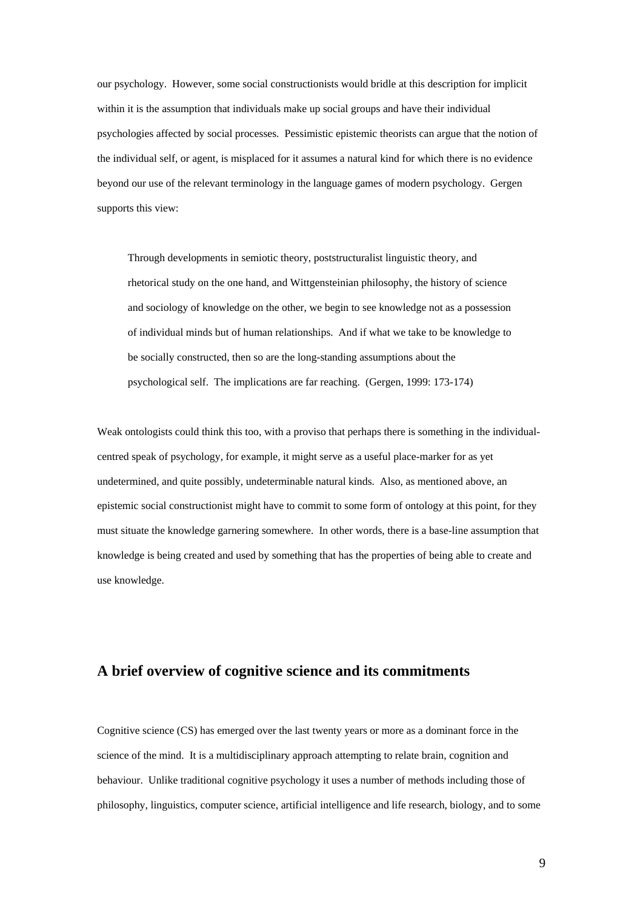our psychology. However, some social constructionists would bridle at this description for implicit within it is the assumption that individuals make up social groups and have their individual psychologies affected by social processes. Pessimistic epistemic theorists can argue that the notion of the individual self, or agent, is misplaced for it assumes a natural kind for which there is no evidence beyond our use of the relevant terminology in the language games of modern psychology. Gergen supports this view:

Through developments in semiotic theory, poststructuralist linguistic theory, and rhetorical study on the one hand, and Wittgensteinian philosophy, the history of science and sociology of knowledge on the other, we begin to see knowledge not as a possession of individual minds but of human relationships. And if what we take to be knowledge to be socially constructed, then so are the long-standing assumptions about the psychological self. The implications are far reaching. (Gergen, 1999: 173-174)

Weak ontologists could think this too, with a proviso that perhaps there is something in the individualcentred speak of psychology, for example, it might serve as a useful place-marker for as yet undetermined, and quite possibly, undeterminable natural kinds. Also, as mentioned above, an epistemic social constructionist might have to commit to some form of ontology at this point, for they must situate the knowledge garnering somewhere. In other words, there is a base-line assumption that knowledge is being created and used by something that has the properties of being able to create and use knowledge.

# **A brief overview of cognitive science and its commitments**

Cognitive science (CS) has emerged over the last twenty years or more as a dominant force in the science of the mind. It is a multidisciplinary approach attempting to relate brain, cognition and behaviour. Unlike traditional cognitive psychology it uses a number of methods including those of philosophy, linguistics, computer science, artificial intelligence and life research, biology, and to some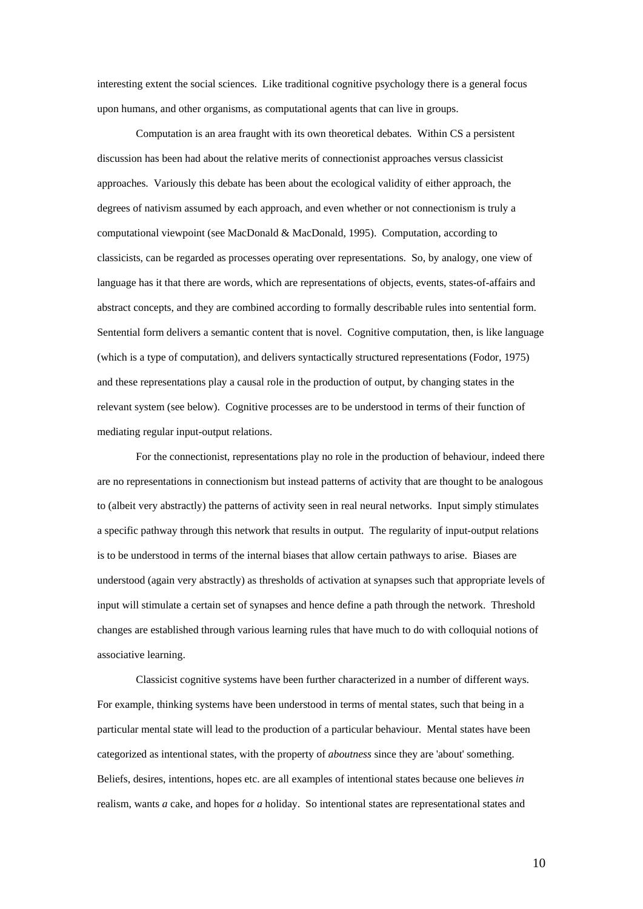interesting extent the social sciences. Like traditional cognitive psychology there is a general focus upon humans, and other organisms, as computational agents that can live in groups.

Computation is an area fraught with its own theoretical debates. Within CS a persistent discussion has been had about the relative merits of connectionist approaches versus classicist approaches. Variously this debate has been about the ecological validity of either approach, the degrees of nativism assumed by each approach, and even whether or not connectionism is truly a computational viewpoint (see MacDonald & MacDonald, 1995). Computation, according to classicists, can be regarded as processes operating over representations. So, by analogy, one view of language has it that there are words, which are representations of objects, events, states-of-affairs and abstract concepts, and they are combined according to formally describable rules into sentential form. Sentential form delivers a semantic content that is novel. Cognitive computation, then, is like language (which is a type of computation), and delivers syntactically structured representations (Fodor, 1975) and these representations play a causal role in the production of output, by changing states in the relevant system (see below). Cognitive processes are to be understood in terms of their function of mediating regular input-output relations.

For the connectionist, representations play no role in the production of behaviour, indeed there are no representations in connectionism but instead patterns of activity that are thought to be analogous to (albeit very abstractly) the patterns of activity seen in real neural networks. Input simply stimulates a specific pathway through this network that results in output. The regularity of input-output relations is to be understood in terms of the internal biases that allow certain pathways to arise. Biases are understood (again very abstractly) as thresholds of activation at synapses such that appropriate levels of input will stimulate a certain set of synapses and hence define a path through the network. Threshold changes are established through various learning rules that have much to do with colloquial notions of associative learning.

Classicist cognitive systems have been further characterized in a number of different ways. For example, thinking systems have been understood in terms of mental states, such that being in a particular mental state will lead to the production of a particular behaviour. Mental states have been categorized as intentional states, with the property of *aboutness* since they are 'about' something. Beliefs, desires, intentions, hopes etc. are all examples of intentional states because one believes *in* realism, wants *a* cake, and hopes for *a* holiday. So intentional states are representational states and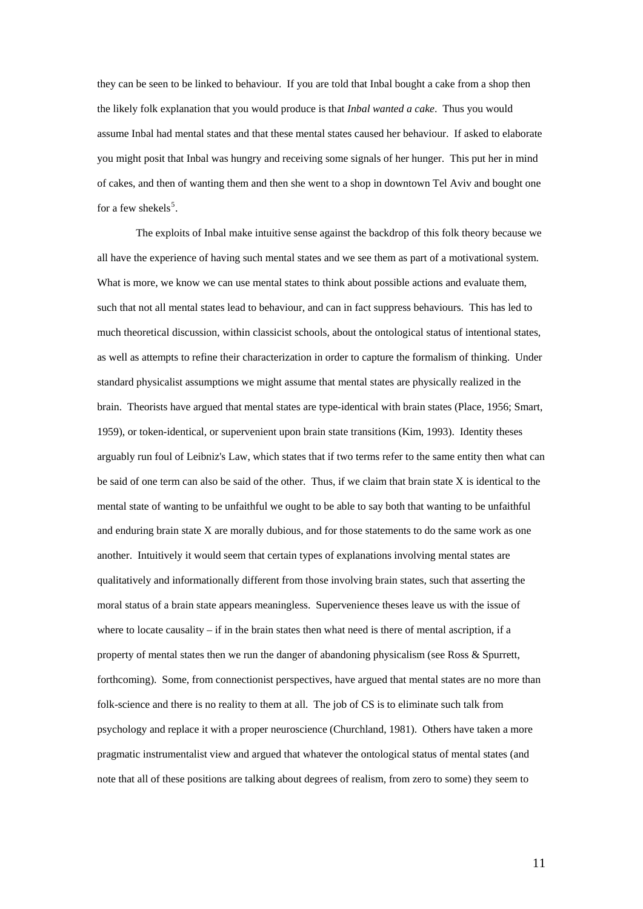they can be seen to be linked to behaviour. If you are told that Inbal bought a cake from a shop then the likely folk explanation that you would produce is that *Inbal wanted a cake*. Thus you would assume Inbal had mental states and that these mental states caused her behaviour. If asked to elaborate you might posit that Inbal was hungry and receiving some signals of her hunger. This put her in mind of cakes, and then of wanting them and then she went to a shop in downtown Tel Aviv and bought one for a few shekels<sup>[5](#page-28-4)</sup>.

The exploits of Inbal make intuitive sense against the backdrop of this folk theory because we all have the experience of having such mental states and we see them as part of a motivational system. What is more, we know we can use mental states to think about possible actions and evaluate them, such that not all mental states lead to behaviour, and can in fact suppress behaviours. This has led to much theoretical discussion, within classicist schools, about the ontological status of intentional states, as well as attempts to refine their characterization in order to capture the formalism of thinking. Under standard physicalist assumptions we might assume that mental states are physically realized in the brain. Theorists have argued that mental states are type-identical with brain states (Place, 1956; Smart, 1959), or token-identical, or supervenient upon brain state transitions (Kim, 1993). Identity theses arguably run foul of Leibniz's Law, which states that if two terms refer to the same entity then what can be said of one term can also be said of the other. Thus, if we claim that brain state X is identical to the mental state of wanting to be unfaithful we ought to be able to say both that wanting to be unfaithful and enduring brain state X are morally dubious, and for those statements to do the same work as one another. Intuitively it would seem that certain types of explanations involving mental states are qualitatively and informationally different from those involving brain states, such that asserting the moral status of a brain state appears meaningless. Supervenience theses leave us with the issue of where to locate causality – if in the brain states then what need is there of mental ascription, if a property of mental states then we run the danger of abandoning physicalism (see Ross & Spurrett, forthcoming). Some, from connectionist perspectives, have argued that mental states are no more than folk-science and there is no reality to them at all. The job of CS is to eliminate such talk from psychology and replace it with a proper neuroscience (Churchland, 1981). Others have taken a more pragmatic instrumentalist view and argued that whatever the ontological status of mental states (and note that all of these positions are talking about degrees of realism, from zero to some) they seem to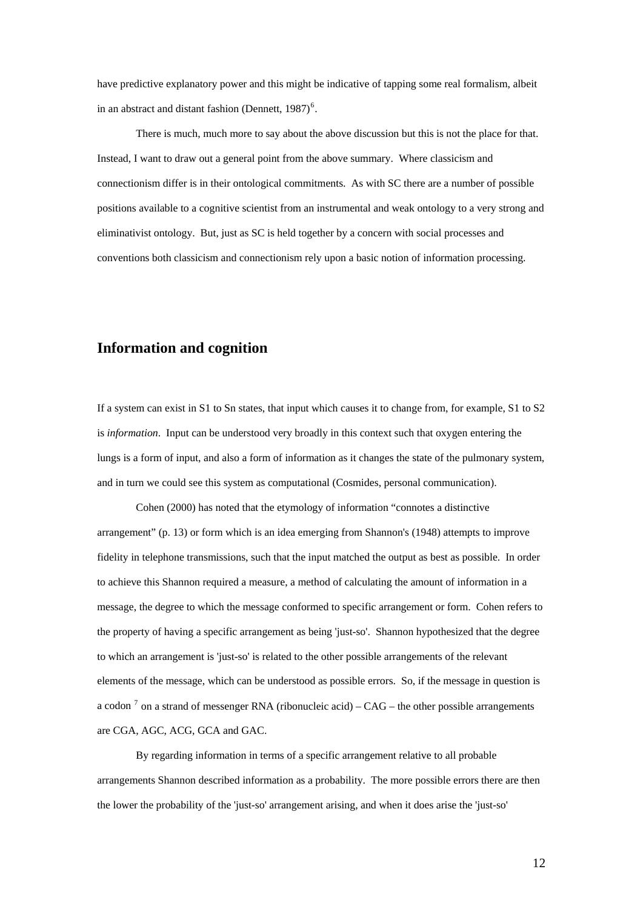have predictive explanatory power and this might be indicative of tapping some real formalism, albeit in an abstract and distant fashion (Dennett,  $1987$ )<sup>[6](#page-28-5)</sup>.

There is much, much more to say about the above discussion but this is not the place for that. Instead, I want to draw out a general point from the above summary. Where classicism and connectionism differ is in their ontological commitments. As with SC there are a number of possible positions available to a cognitive scientist from an instrumental and weak ontology to a very strong and eliminativist ontology. But, just as SC is held together by a concern with social processes and conventions both classicism and connectionism rely upon a basic notion of information processing.

# **Information and cognition**

If a system can exist in S1 to Sn states, that input which causes it to change from, for example, S1 to S2 is *information*. Input can be understood very broadly in this context such that oxygen entering the lungs is a form of input, and also a form of information as it changes the state of the pulmonary system, and in turn we could see this system as computational (Cosmides, personal communication).

Cohen (2000) has noted that the etymology of information "connotes a distinctive arrangement" (p. 13) or form which is an idea emerging from Shannon's (1948) attempts to improve fidelity in telephone transmissions, such that the input matched the output as best as possible. In order to achieve this Shannon required a measure, a method of calculating the amount of information in a message, the degree to which the message conformed to specific arrangement or form. Cohen refers to the property of having a specific arrangement as being 'just-so'. Shannon hypothesized that the degree to which an arrangement is 'just-so' is related to the other possible arrangements of the relevant elements of the message, which can be understood as possible errors. So, if the message in question is a codon<sup>[7](#page-28-6)</sup> on a strand of messenger RNA (ribonucleic acid) – CAG – the other possible arrangements are CGA, AGC, ACG, GCA and GAC.

By regarding information in terms of a specific arrangement relative to all probable arrangements Shannon described information as a probability. The more possible errors there are then the lower the probability of the 'just-so' arrangement arising, and when it does arise the 'just-so'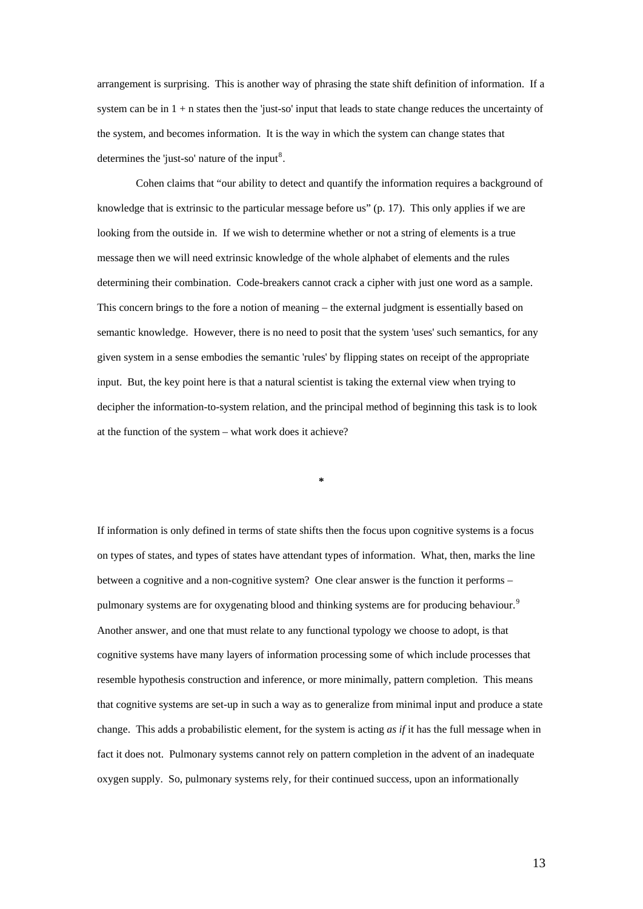arrangement is surprising. This is another way of phrasing the state shift definition of information. If a system can be in 1 + n states then the 'just-so' input that leads to state change reduces the uncertainty of the system, and becomes information. It is the way in which the system can change states that determines the 'just-so' nature of the input<sup>[8](#page-28-7)</sup>.

Cohen claims that "our ability to detect and quantify the information requires a background of knowledge that is extrinsic to the particular message before us" (p. 17). This only applies if we are looking from the outside in. If we wish to determine whether or not a string of elements is a true message then we will need extrinsic knowledge of the whole alphabet of elements and the rules determining their combination. Code-breakers cannot crack a cipher with just one word as a sample. This concern brings to the fore a notion of meaning – the external judgment is essentially based on semantic knowledge. However, there is no need to posit that the system 'uses' such semantics, for any given system in a sense embodies the semantic 'rules' by flipping states on receipt of the appropriate input. But, the key point here is that a natural scientist is taking the external view when trying to decipher the information-to-system relation, and the principal method of beginning this task is to look at the function of the system – what work does it achieve?

**\*** 

If information is only defined in terms of state shifts then the focus upon cognitive systems is a focus on types of states, and types of states have attendant types of information. What, then, marks the line between a cognitive and a non-cognitive system? One clear answer is the function it performs – pulmonary systems are for oxygenating blood and thinking systems are for producing behaviour.<sup>[9](#page-28-8)</sup> Another answer, and one that must relate to any functional typology we choose to adopt, is that cognitive systems have many layers of information processing some of which include processes that resemble hypothesis construction and inference, or more minimally, pattern completion. This means that cognitive systems are set-up in such a way as to generalize from minimal input and produce a state change. This adds a probabilistic element, for the system is acting *as if* it has the full message when in fact it does not. Pulmonary systems cannot rely on pattern completion in the advent of an inadequate oxygen supply. So, pulmonary systems rely, for their continued success, upon an informationally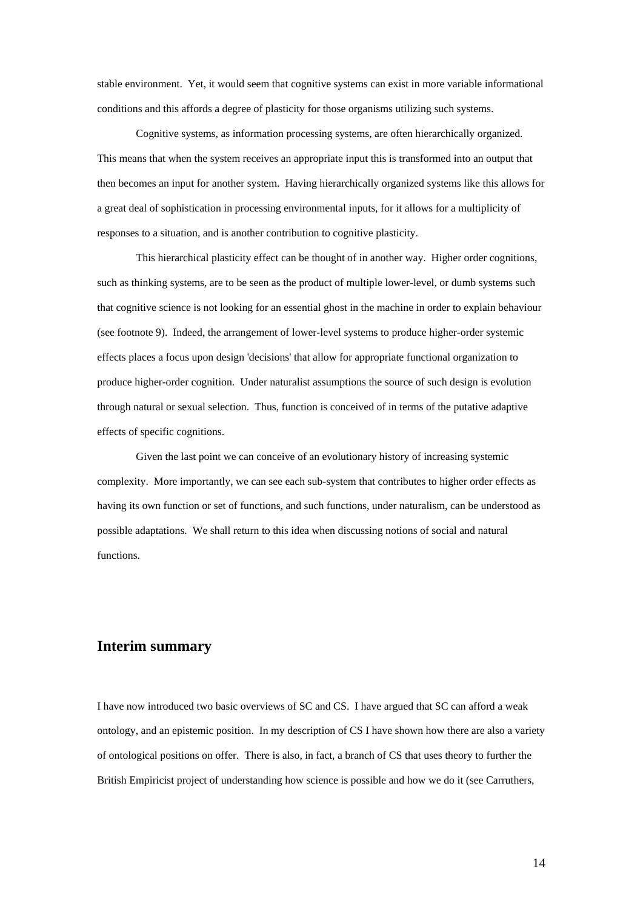stable environment. Yet, it would seem that cognitive systems can exist in more variable informational conditions and this affords a degree of plasticity for those organisms utilizing such systems.

Cognitive systems, as information processing systems, are often hierarchically organized. This means that when the system receives an appropriate input this is transformed into an output that then becomes an input for another system. Having hierarchically organized systems like this allows for a great deal of sophistication in processing environmental inputs, for it allows for a multiplicity of responses to a situation, and is another contribution to cognitive plasticity.

This hierarchical plasticity effect can be thought of in another way. Higher order cognitions, such as thinking systems, are to be seen as the product of multiple lower-level, or dumb systems such that cognitive science is not looking for an essential ghost in the machine in order to explain behaviour (see footnote 9). Indeed, the arrangement of lower-level systems to produce higher-order systemic effects places a focus upon design 'decisions' that allow for appropriate functional organization to produce higher-order cognition. Under naturalist assumptions the source of such design is evolution through natural or sexual selection. Thus, function is conceived of in terms of the putative adaptive effects of specific cognitions.

Given the last point we can conceive of an evolutionary history of increasing systemic complexity. More importantly, we can see each sub-system that contributes to higher order effects as having its own function or set of functions, and such functions, under naturalism, can be understood as possible adaptations. We shall return to this idea when discussing notions of social and natural functions.

#### **Interim summary**

I have now introduced two basic overviews of SC and CS. I have argued that SC can afford a weak ontology, and an epistemic position. In my description of CS I have shown how there are also a variety of ontological positions on offer. There is also, in fact, a branch of CS that uses theory to further the British Empiricist project of understanding how science is possible and how we do it (see Carruthers,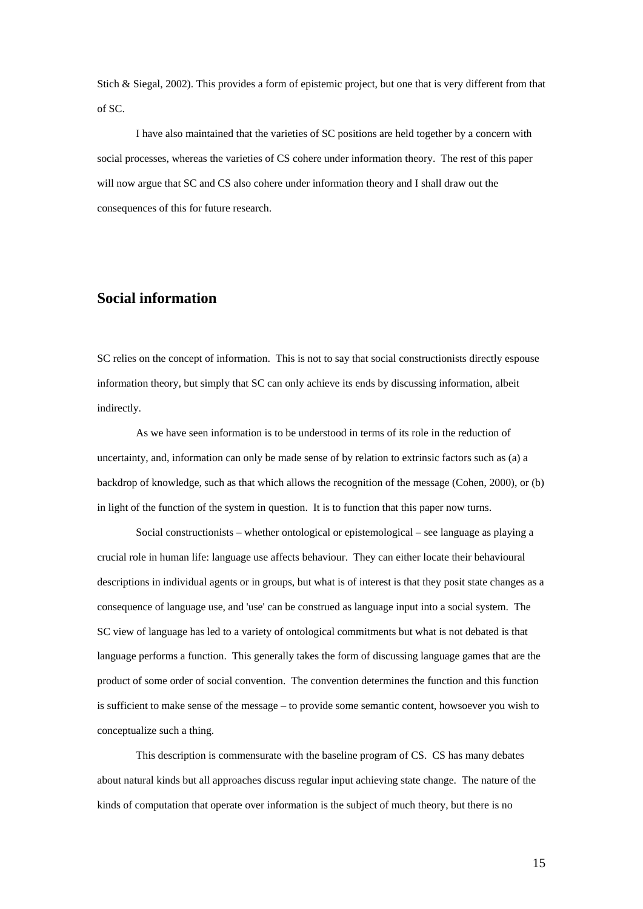Stich & Siegal, 2002). This provides a form of epistemic project, but one that is very different from that of SC.

I have also maintained that the varieties of SC positions are held together by a concern with social processes, whereas the varieties of CS cohere under information theory. The rest of this paper will now argue that SC and CS also cohere under information theory and I shall draw out the consequences of this for future research.

#### **Social information**

SC relies on the concept of information. This is not to say that social constructionists directly espouse information theory, but simply that SC can only achieve its ends by discussing information, albeit indirectly.

As we have seen information is to be understood in terms of its role in the reduction of uncertainty, and, information can only be made sense of by relation to extrinsic factors such as (a) a backdrop of knowledge, such as that which allows the recognition of the message (Cohen, 2000), or (b) in light of the function of the system in question. It is to function that this paper now turns.

Social constructionists – whether ontological or epistemological – see language as playing a crucial role in human life: language use affects behaviour. They can either locate their behavioural descriptions in individual agents or in groups, but what is of interest is that they posit state changes as a consequence of language use, and 'use' can be construed as language input into a social system. The SC view of language has led to a variety of ontological commitments but what is not debated is that language performs a function. This generally takes the form of discussing language games that are the product of some order of social convention. The convention determines the function and this function is sufficient to make sense of the message – to provide some semantic content, howsoever you wish to conceptualize such a thing.

This description is commensurate with the baseline program of CS. CS has many debates about natural kinds but all approaches discuss regular input achieving state change. The nature of the kinds of computation that operate over information is the subject of much theory, but there is no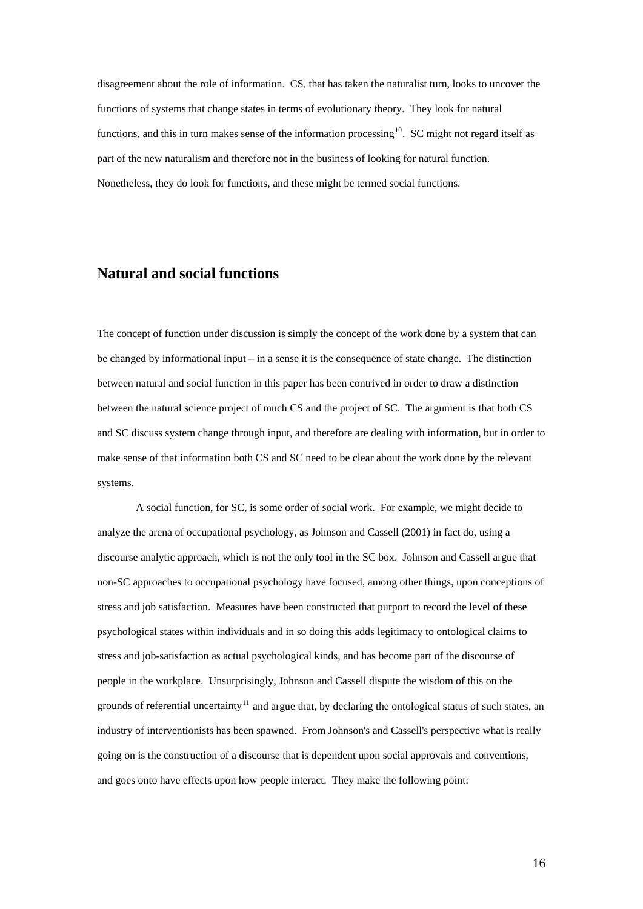disagreement about the role of information. CS, that has taken the naturalist turn, looks to uncover the functions of systems that change states in terms of evolutionary theory. They look for natural functions, and this in turn makes sense of the information processing $10$ . SC might not regard itself as part of the new naturalism and therefore not in the business of looking for natural function. Nonetheless, they do look for functions, and these might be termed social functions.

#### **Natural and social functions**

The concept of function under discussion is simply the concept of the work done by a system that can be changed by informational input – in a sense it is the consequence of state change. The distinction between natural and social function in this paper has been contrived in order to draw a distinction between the natural science project of much CS and the project of SC. The argument is that both CS and SC discuss system change through input, and therefore are dealing with information, but in order to make sense of that information both CS and SC need to be clear about the work done by the relevant systems.

A social function, for SC, is some order of social work. For example, we might decide to analyze the arena of occupational psychology, as Johnson and Cassell (2001) in fact do, using a discourse analytic approach, which is not the only tool in the SC box. Johnson and Cassell argue that non-SC approaches to occupational psychology have focused, among other things, upon conceptions of stress and job satisfaction. Measures have been constructed that purport to record the level of these psychological states within individuals and in so doing this adds legitimacy to ontological claims to stress and job-satisfaction as actual psychological kinds, and has become part of the discourse of people in the workplace. Unsurprisingly, Johnson and Cassell dispute the wisdom of this on the grounds of referential uncertainty<sup>[11](#page-28-10)</sup> and argue that, by declaring the ontological status of such states, an industry of interventionists has been spawned. From Johnson's and Cassell's perspective what is really going on is the construction of a discourse that is dependent upon social approvals and conventions, and goes onto have effects upon how people interact. They make the following point: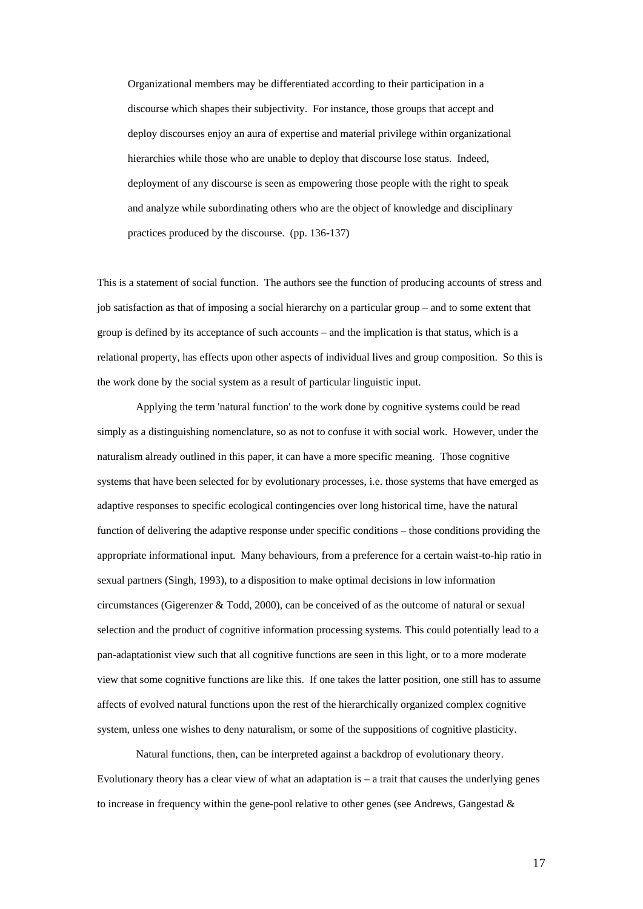Organizational members may be differentiated according to their participation in a discourse which shapes their subjectivity. For instance, those groups that accept and deploy discourses enjoy an aura of expertise and material privilege within organizational hierarchies while those who are unable to deploy that discourse lose status. Indeed, deployment of any discourse is seen as empowering those people with the right to speak and analyze while subordinating others who are the object of knowledge and disciplinary practices produced by the discourse. (pp. 136-137)

This is a statement of social function. The authors see the function of producing accounts of stress and job satisfaction as that of imposing a social hierarchy on a particular group – and to some extent that group is defined by its acceptance of such accounts – and the implication is that status, which is a relational property, has effects upon other aspects of individual lives and group composition. So this is the work done by the social system as a result of particular linguistic input.

Applying the term 'natural function' to the work done by cognitive systems could be read simply as a distinguishing nomenclature, so as not to confuse it with social work. However, under the naturalism already outlined in this paper, it can have a more specific meaning. Those cognitive systems that have been selected for by evolutionary processes, i.e. those systems that have emerged as adaptive responses to specific ecological contingencies over long historical time, have the natural function of delivering the adaptive response under specific conditions – those conditions providing the appropriate informational input. Many behaviours, from a preference for a certain waist-to-hip ratio in sexual partners (Singh, 1993), to a disposition to make optimal decisions in low information circumstances (Gigerenzer & Todd, 2000), can be conceived of as the outcome of natural or sexual selection and the product of cognitive information processing systems. This could potentially lead to a pan-adaptationist view such that all cognitive functions are seen in this light, or to a more moderate view that some cognitive functions are like this. If one takes the latter position, one still has to assume affects of evolved natural functions upon the rest of the hierarchically organized complex cognitive system, unless one wishes to deny naturalism, or some of the suppositions of cognitive plasticity.

Natural functions, then, can be interpreted against a backdrop of evolutionary theory. Evolutionary theory has a clear view of what an adaptation is  $-$  a trait that causes the underlying genes to increase in frequency within the gene-pool relative to other genes (see Andrews, Gangestad  $\&$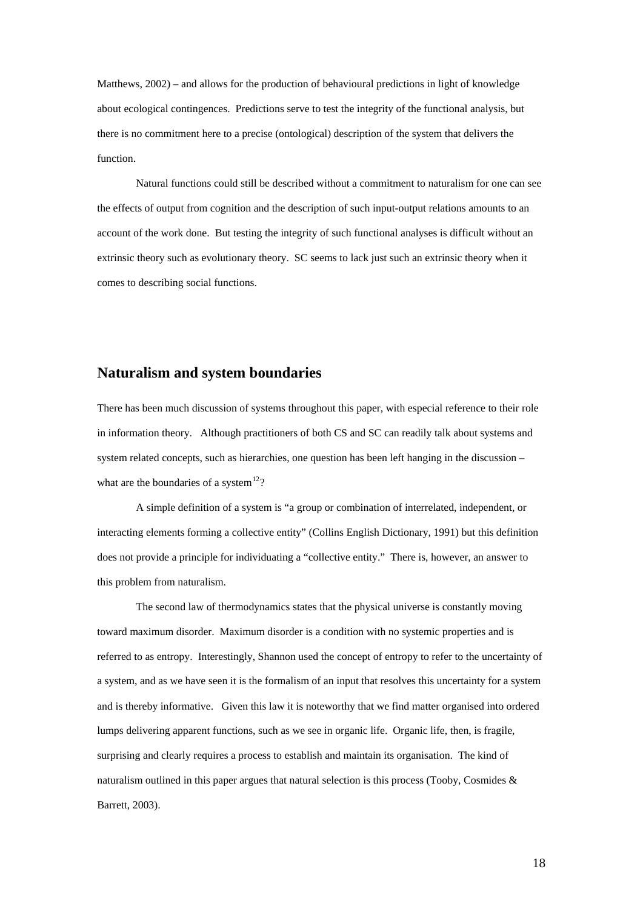Matthews, 2002) – and allows for the production of behavioural predictions in light of knowledge about ecological contingences. Predictions serve to test the integrity of the functional analysis, but there is no commitment here to a precise (ontological) description of the system that delivers the function.

Natural functions could still be described without a commitment to naturalism for one can see the effects of output from cognition and the description of such input-output relations amounts to an account of the work done. But testing the integrity of such functional analyses is difficult without an extrinsic theory such as evolutionary theory. SC seems to lack just such an extrinsic theory when it comes to describing social functions.

### **Naturalism and system boundaries**

There has been much discussion of systems throughout this paper, with especial reference to their role in information theory. Although practitioners of both CS and SC can readily talk about systems and system related concepts, such as hierarchies, one question has been left hanging in the discussion – what are the boundaries of a system<sup>[12](#page-29-0)</sup>?

A simple definition of a system is "a group or combination of interrelated, independent, or interacting elements forming a collective entity" (Collins English Dictionary, 1991) but this definition does not provide a principle for individuating a "collective entity." There is, however, an answer to this problem from naturalism.

The second law of thermodynamics states that the physical universe is constantly moving toward maximum disorder. Maximum disorder is a condition with no systemic properties and is referred to as entropy. Interestingly, Shannon used the concept of entropy to refer to the uncertainty of a system, and as we have seen it is the formalism of an input that resolves this uncertainty for a system and is thereby informative. Given this law it is noteworthy that we find matter organised into ordered lumps delivering apparent functions, such as we see in organic life. Organic life, then, is fragile, surprising and clearly requires a process to establish and maintain its organisation. The kind of naturalism outlined in this paper argues that natural selection is this process (Tooby, Cosmides & Barrett, 2003).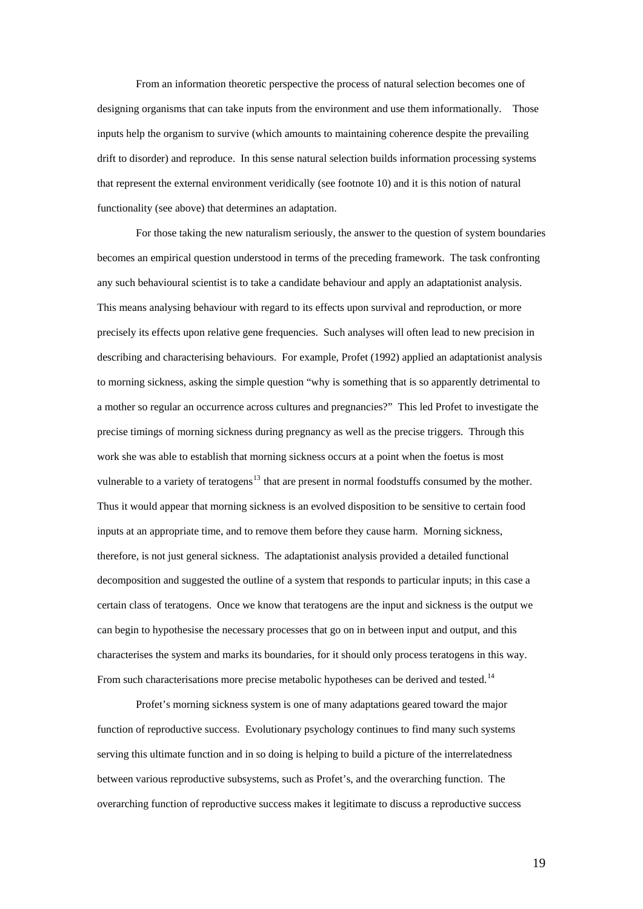From an information theoretic perspective the process of natural selection becomes one of designing organisms that can take inputs from the environment and use them informationally. Those inputs help the organism to survive (which amounts to maintaining coherence despite the prevailing drift to disorder) and reproduce. In this sense natural selection builds information processing systems that represent the external environment veridically (see footnote 10) and it is this notion of natural functionality (see above) that determines an adaptation.

For those taking the new naturalism seriously, the answer to the question of system boundaries becomes an empirical question understood in terms of the preceding framework. The task confronting any such behavioural scientist is to take a candidate behaviour and apply an adaptationist analysis. This means analysing behaviour with regard to its effects upon survival and reproduction, or more precisely its effects upon relative gene frequencies. Such analyses will often lead to new precision in describing and characterising behaviours. For example, Profet (1992) applied an adaptationist analysis to morning sickness, asking the simple question "why is something that is so apparently detrimental to a mother so regular an occurrence across cultures and pregnancies?" This led Profet to investigate the precise timings of morning sickness during pregnancy as well as the precise triggers. Through this work she was able to establish that morning sickness occurs at a point when the foetus is most vulnerable to a variety of teratogens<sup>[13](#page-29-1)</sup> that are present in normal foodstuffs consumed by the mother. Thus it would appear that morning sickness is an evolved disposition to be sensitive to certain food inputs at an appropriate time, and to remove them before they cause harm. Morning sickness, therefore, is not just general sickness. The adaptationist analysis provided a detailed functional decomposition and suggested the outline of a system that responds to particular inputs; in this case a certain class of teratogens. Once we know that teratogens are the input and sickness is the output we can begin to hypothesise the necessary processes that go on in between input and output, and this characterises the system and marks its boundaries, for it should only process teratogens in this way. From such characterisations more precise metabolic hypotheses can be derived and tested.<sup>[14](#page-29-2)</sup>

Profet's morning sickness system is one of many adaptations geared toward the major function of reproductive success. Evolutionary psychology continues to find many such systems serving this ultimate function and in so doing is helping to build a picture of the interrelatedness between various reproductive subsystems, such as Profet's, and the overarching function. The overarching function of reproductive success makes it legitimate to discuss a reproductive success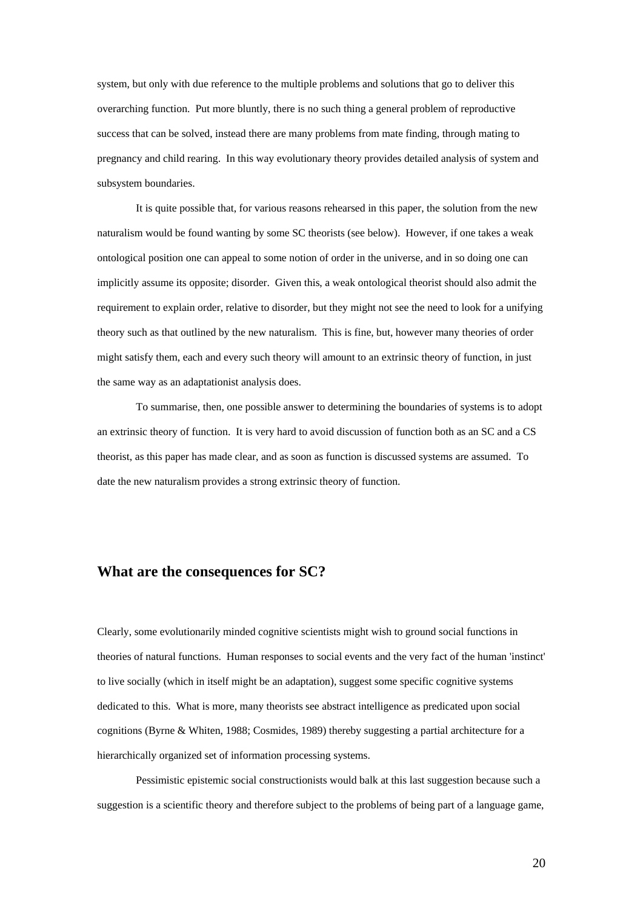system, but only with due reference to the multiple problems and solutions that go to deliver this overarching function. Put more bluntly, there is no such thing a general problem of reproductive success that can be solved, instead there are many problems from mate finding, through mating to pregnancy and child rearing. In this way evolutionary theory provides detailed analysis of system and subsystem boundaries.

It is quite possible that, for various reasons rehearsed in this paper, the solution from the new naturalism would be found wanting by some SC theorists (see below). However, if one takes a weak ontological position one can appeal to some notion of order in the universe, and in so doing one can implicitly assume its opposite; disorder. Given this, a weak ontological theorist should also admit the requirement to explain order, relative to disorder, but they might not see the need to look for a unifying theory such as that outlined by the new naturalism. This is fine, but, however many theories of order might satisfy them, each and every such theory will amount to an extrinsic theory of function, in just the same way as an adaptationist analysis does.

To summarise, then, one possible answer to determining the boundaries of systems is to adopt an extrinsic theory of function. It is very hard to avoid discussion of function both as an SC and a CS theorist, as this paper has made clear, and as soon as function is discussed systems are assumed. To date the new naturalism provides a strong extrinsic theory of function.

#### **What are the consequences for SC?**

Clearly, some evolutionarily minded cognitive scientists might wish to ground social functions in theories of natural functions. Human responses to social events and the very fact of the human 'instinct' to live socially (which in itself might be an adaptation), suggest some specific cognitive systems dedicated to this. What is more, many theorists see abstract intelligence as predicated upon social cognitions (Byrne & Whiten, 1988; Cosmides, 1989) thereby suggesting a partial architecture for a hierarchically organized set of information processing systems.

Pessimistic epistemic social constructionists would balk at this last suggestion because such a suggestion is a scientific theory and therefore subject to the problems of being part of a language game,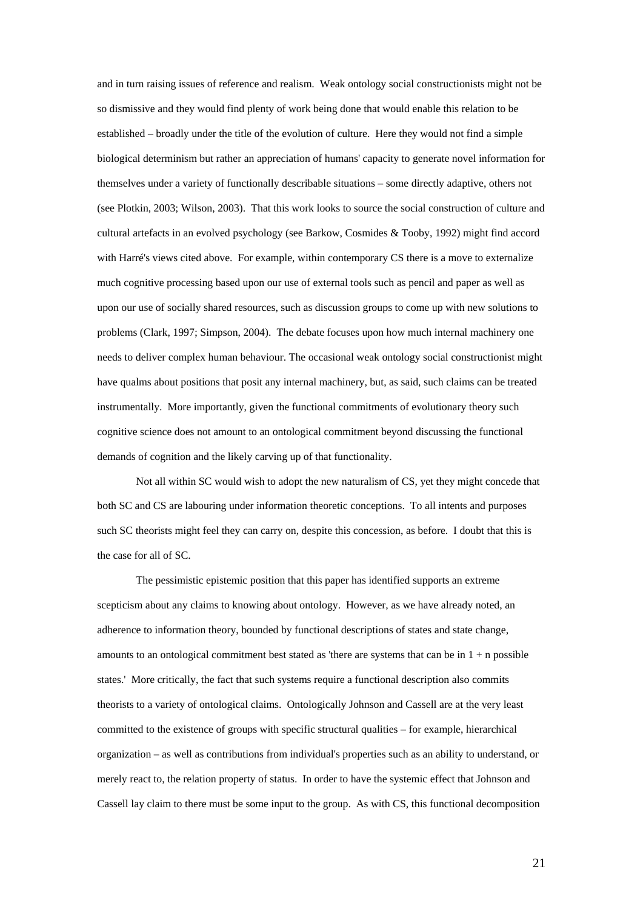and in turn raising issues of reference and realism. Weak ontology social constructionists might not be so dismissive and they would find plenty of work being done that would enable this relation to be established – broadly under the title of the evolution of culture. Here they would not find a simple biological determinism but rather an appreciation of humans' capacity to generate novel information for themselves under a variety of functionally describable situations – some directly adaptive, others not (see Plotkin, 2003; Wilson, 2003). That this work looks to source the social construction of culture and cultural artefacts in an evolved psychology (see Barkow, Cosmides & Tooby, 1992) might find accord with Harré's views cited above. For example, within contemporary CS there is a move to externalize much cognitive processing based upon our use of external tools such as pencil and paper as well as upon our use of socially shared resources, such as discussion groups to come up with new solutions to problems (Clark, 1997; Simpson, 2004). The debate focuses upon how much internal machinery one needs to deliver complex human behaviour. The occasional weak ontology social constructionist might have qualms about positions that posit any internal machinery, but, as said, such claims can be treated instrumentally. More importantly, given the functional commitments of evolutionary theory such cognitive science does not amount to an ontological commitment beyond discussing the functional demands of cognition and the likely carving up of that functionality.

Not all within SC would wish to adopt the new naturalism of CS, yet they might concede that both SC and CS are labouring under information theoretic conceptions. To all intents and purposes such SC theorists might feel they can carry on, despite this concession, as before. I doubt that this is the case for all of SC.

The pessimistic epistemic position that this paper has identified supports an extreme scepticism about any claims to knowing about ontology. However, as we have already noted, an adherence to information theory, bounded by functional descriptions of states and state change, amounts to an ontological commitment best stated as 'there are systems that can be in  $1 + n$  possible states.' More critically, the fact that such systems require a functional description also commits theorists to a variety of ontological claims. Ontologically Johnson and Cassell are at the very least committed to the existence of groups with specific structural qualities – for example, hierarchical organization – as well as contributions from individual's properties such as an ability to understand, or merely react to, the relation property of status. In order to have the systemic effect that Johnson and Cassell lay claim to there must be some input to the group. As with CS, this functional decomposition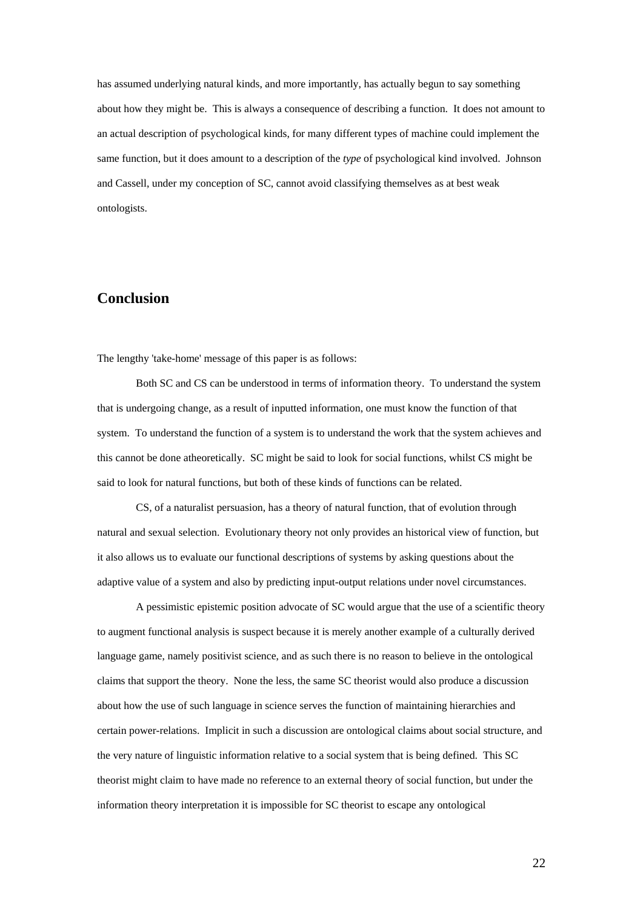has assumed underlying natural kinds, and more importantly, has actually begun to say something about how they might be. This is always a consequence of describing a function. It does not amount to an actual description of psychological kinds, for many different types of machine could implement the same function, but it does amount to a description of the *type* of psychological kind involved. Johnson and Cassell, under my conception of SC, cannot avoid classifying themselves as at best weak ontologists.

# **Conclusion**

The lengthy 'take-home' message of this paper is as follows:

Both SC and CS can be understood in terms of information theory. To understand the system that is undergoing change, as a result of inputted information, one must know the function of that system. To understand the function of a system is to understand the work that the system achieves and this cannot be done atheoretically. SC might be said to look for social functions, whilst CS might be said to look for natural functions, but both of these kinds of functions can be related.

CS, of a naturalist persuasion, has a theory of natural function, that of evolution through natural and sexual selection. Evolutionary theory not only provides an historical view of function, but it also allows us to evaluate our functional descriptions of systems by asking questions about the adaptive value of a system and also by predicting input-output relations under novel circumstances.

A pessimistic epistemic position advocate of SC would argue that the use of a scientific theory to augment functional analysis is suspect because it is merely another example of a culturally derived language game, namely positivist science, and as such there is no reason to believe in the ontological claims that support the theory. None the less, the same SC theorist would also produce a discussion about how the use of such language in science serves the function of maintaining hierarchies and certain power-relations. Implicit in such a discussion are ontological claims about social structure, and the very nature of linguistic information relative to a social system that is being defined. This SC theorist might claim to have made no reference to an external theory of social function, but under the information theory interpretation it is impossible for SC theorist to escape any ontological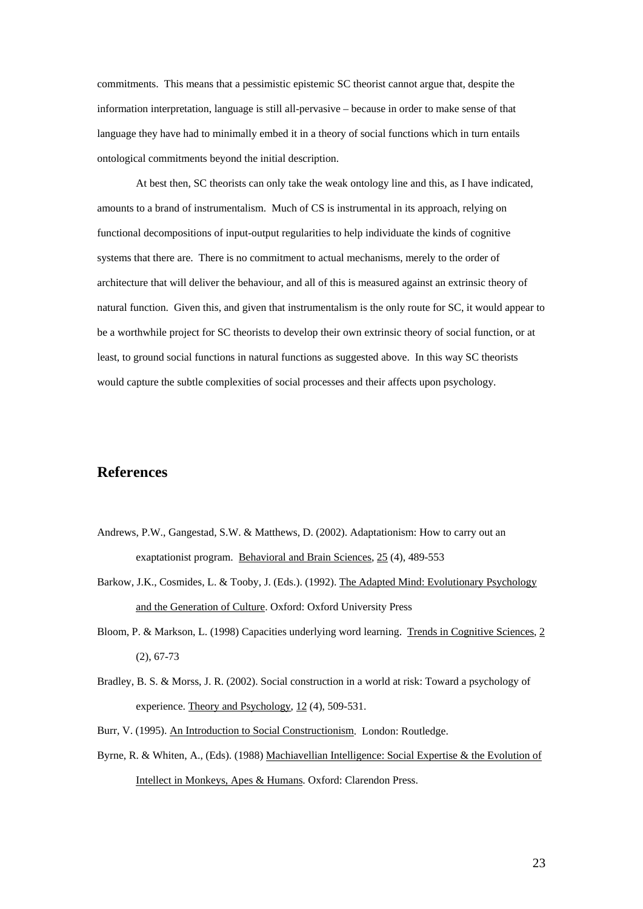commitments. This means that a pessimistic epistemic SC theorist cannot argue that, despite the information interpretation, language is still all-pervasive – because in order to make sense of that language they have had to minimally embed it in a theory of social functions which in turn entails ontological commitments beyond the initial description.

At best then, SC theorists can only take the weak ontology line and this, as I have indicated, amounts to a brand of instrumentalism. Much of CS is instrumental in its approach, relying on functional decompositions of input-output regularities to help individuate the kinds of cognitive systems that there are. There is no commitment to actual mechanisms, merely to the order of architecture that will deliver the behaviour, and all of this is measured against an extrinsic theory of natural function. Given this, and given that instrumentalism is the only route for SC, it would appear to be a worthwhile project for SC theorists to develop their own extrinsic theory of social function, or at least, to ground social functions in natural functions as suggested above. In this way SC theorists would capture the subtle complexities of social processes and their affects upon psychology.

#### **References**

- Andrews, P.W., Gangestad, S.W. & Matthews, D. (2002). Adaptationism: How to carry out an exaptationist program. Behavioral and Brain Sciences, 25 (4), 489-553
- Barkow, J.K., Cosmides, L. & Tooby, J. (Eds.). (1992). The Adapted Mind: Evolutionary Psychology and the Generation of Culture. Oxford: Oxford University Press
- Bloom, P. & Markson, L. (1998) Capacities underlying word learning. Trends in Cognitive Sciences, 2 (2), 67-73
- Bradley, B. S. & Morss, J. R. (2002). Social construction in a world at risk: Toward a psychology of experience. Theory and Psychology, 12 (4), 509-531.
- Burr, V. (1995). An Introduction to Social Constructionism. London: Routledge.
- Byrne, R. & Whiten, A., (Eds). (1988) Machiavellian Intelligence: Social Expertise & the Evolution of Intellect in Monkeys, Apes & Humans. Oxford: Clarendon Press.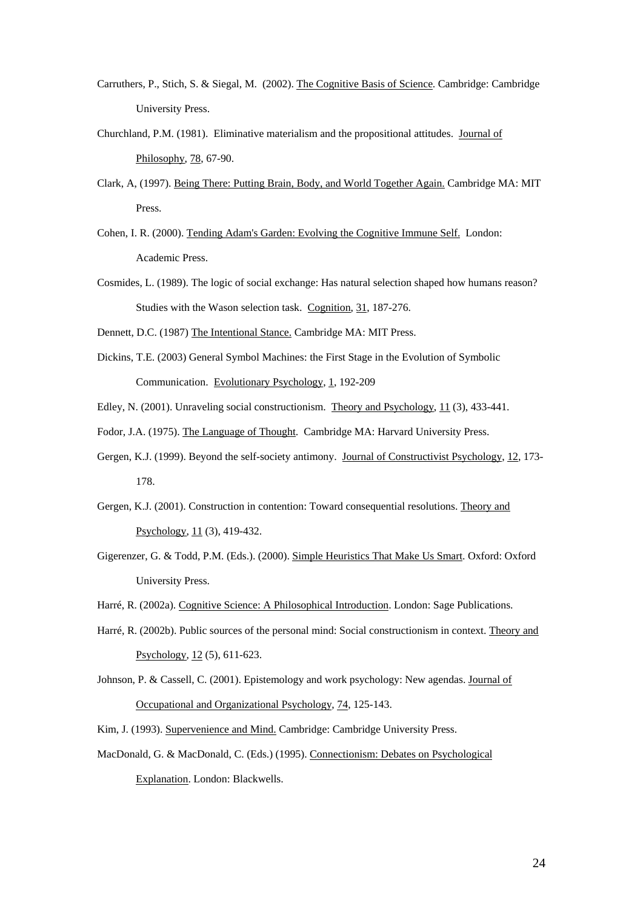- Carruthers, P., Stich, S. & Siegal, M. (2002). The Cognitive Basis of Science. Cambridge: Cambridge University Press.
- Churchland, P.M. (1981). Eliminative materialism and the propositional attitudes. Journal of Philosophy, 78, 67-90.
- Clark, A, (1997). Being There: Putting Brain, Body, and World Together Again. Cambridge MA: MIT Press.
- Cohen, I. R. (2000). Tending Adam's Garden: Evolving the Cognitive Immune Self. London: Academic Press.
- Cosmides, L. (1989). The logic of social exchange: Has natural selection shaped how humans reason? Studies with the Wason selection task. Cognition, 31, 187-276.
- Dennett, D.C. (1987) The Intentional Stance. Cambridge MA: MIT Press.
- Dickins, T.E. (2003) General Symbol Machines: the First Stage in the Evolution of Symbolic Communication. Evolutionary Psychology, 1, 192-209
- Edley, N. (2001). Unraveling social constructionism. Theory and Psychology, 11 (3), 433-441.
- Fodor, J.A. (1975). The Language of Thought. Cambridge MA: Harvard University Press.
- Gergen, K.J. (1999). Beyond the self-society antimony. Journal of Constructivist Psychology, 12, 173- 178.
- Gergen, K.J. (2001). Construction in contention: Toward consequential resolutions. Theory and Psychology, 11 (3), 419-432.
- Gigerenzer, G. & Todd, P.M. (Eds.). (2000). Simple Heuristics That Make Us Smart. Oxford: Oxford University Press.
- Harré, R. (2002a). Cognitive Science: A Philosophical Introduction. London: Sage Publications.
- Harré, R. (2002b). Public sources of the personal mind: Social constructionism in context. Theory and Psychology, 12 (5), 611-623.
- Johnson, P. & Cassell, C. (2001). Epistemology and work psychology: New agendas. Journal of Occupational and Organizational Psychology, 74, 125-143.
- Kim, J. (1993). Supervenience and Mind. Cambridge: Cambridge University Press.
- MacDonald, G. & MacDonald, C. (Eds.) (1995). Connectionism: Debates on Psychological Explanation. London: Blackwells.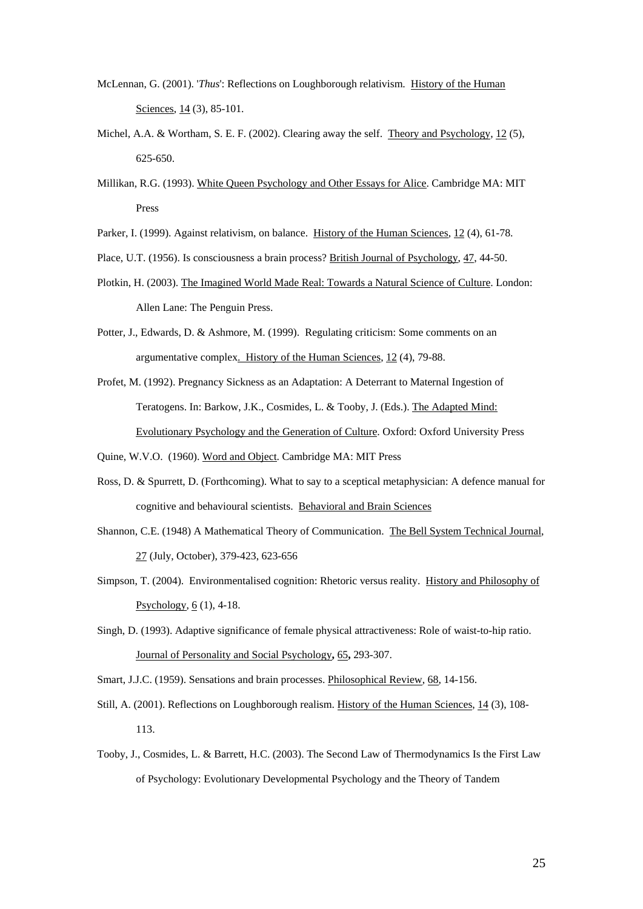- McLennan, G. (2001). '*Thus*': Reflections on Loughborough relativism. History of the Human Sciences, 14 (3), 85-101.
- Michel, A.A. & Wortham, S. E. F. (2002). Clearing away the self. Theory and Psychology, 12 (5), 625-650.
- Millikan, R.G. (1993). White Queen Psychology and Other Essays for Alice. Cambridge MA: MIT Press
- Parker, I. (1999). Against relativism, on balance. History of the Human Sciences, 12 (4), 61-78.
- Place, U.T. (1956). Is consciousness a brain process? British Journal of Psychology, 47, 44-50.
- Plotkin, H. (2003). The Imagined World Made Real: Towards a Natural Science of Culture. London: Allen Lane: The Penguin Press.
- Potter, J., Edwards, D. & Ashmore, M. (1999). Regulating criticism: Some comments on an argumentative complex. History of the Human Sciences, 12 (4), 79-88.
- Profet, M. (1992). Pregnancy Sickness as an Adaptation: A Deterrant to Maternal Ingestion of Teratogens. In: Barkow, J.K., Cosmides, L. & Tooby, J. (Eds.). The Adapted Mind: Evolutionary Psychology and the Generation of Culture. Oxford: Oxford University Press
- Quine, W.V.O. (1960). Word and Object. Cambridge MA: MIT Press
- Ross, D. & Spurrett, D. (Forthcoming). What to say to a sceptical metaphysician: A defence manual for cognitive and behavioural scientists. Behavioral and Brain Sciences
- Shannon, C.E. (1948) A Mathematical Theory of Communication. The Bell System Technical Journal, 27 (July, October), 379-423, 623-656
- Simpson, T. (2004). Environmentalised cognition: Rhetoric versus reality. History and Philosophy of Psychology, 6 (1), 4-18.
- Singh, D. (1993). Adaptive significance of female physical attractiveness: Role of waist-to-hip ratio. Journal of Personality and Social Psychology**,** 65**,** 293-307.
- Smart, J.J.C. (1959). Sensations and brain processes. Philosophical Review, 68, 14-156.
- Still, A. (2001). Reflections on Loughborough realism. History of the Human Sciences, 14 (3), 108- 113.
- Tooby, J., Cosmides, L. & Barrett, H.C. (2003). The Second Law of Thermodynamics Is the First Law of Psychology: Evolutionary Developmental Psychology and the Theory of Tandem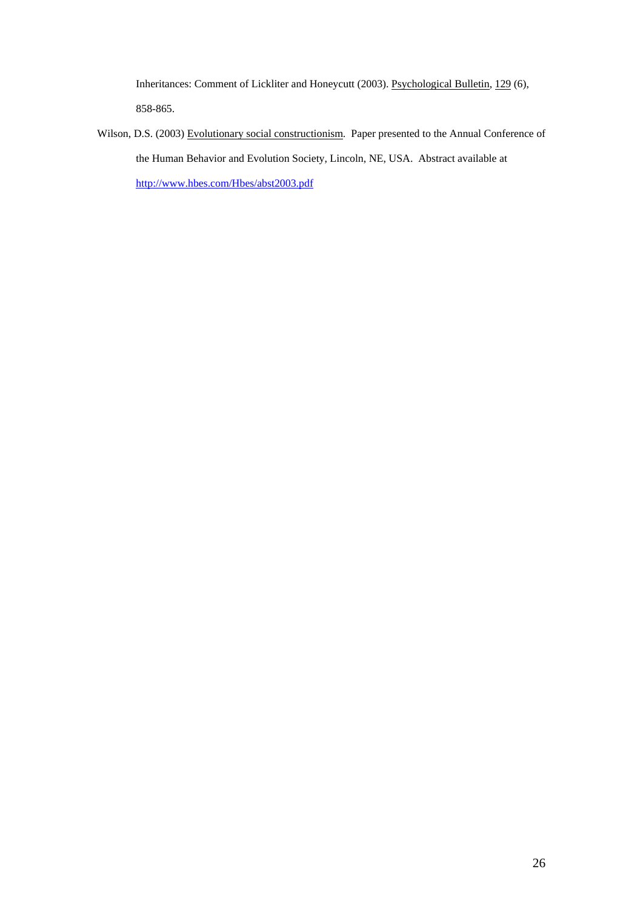Inheritances: Comment of Lickliter and Honeycutt (2003). Psychological Bulletin, 129 (6), 858-865.

Wilson, D.S. (2003) Evolutionary social constructionism. Paper presented to the Annual Conference of the Human Behavior and Evolution Society, Lincoln, NE, USA. Abstract available at <http://www.hbes.com/Hbes/abst2003.pdf>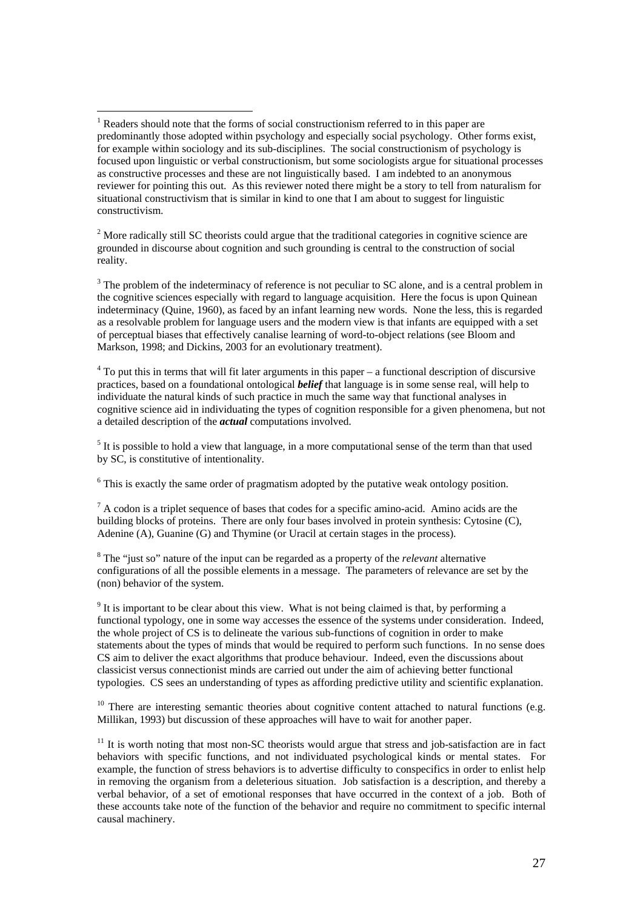<span id="page-28-1"></span> $2^{2}$  More radically still SC theorists could argue that the traditional categories in cognitive science are grounded in discourse about cognition and such grounding is central to the construction of social reality.

<span id="page-28-2"></span> $3$  The problem of the indeterminacy of reference is not peculiar to SC alone, and is a central problem in the cognitive sciences especially with regard to language acquisition. Here the focus is upon Quinean indeterminacy (Quine, 1960), as faced by an infant learning new words. None the less, this is regarded as a resolvable problem for language users and the modern view is that infants are equipped with a set of perceptual biases that effectively canalise learning of word-to-object relations (see Bloom and Markson, 1998; and Dickins, 2003 for an evolutionary treatment).

<span id="page-28-3"></span> $4$  To put this in terms that will fit later arguments in this paper – a functional description of discursive practices, based on a foundational ontological *belief* that language is in some sense real, will help to individuate the natural kinds of such practice in much the same way that functional analyses in cognitive science aid in individuating the types of cognition responsible for a given phenomena, but not a detailed description of the *actual* computations involved.

<span id="page-28-4"></span> $<sup>5</sup>$  It is possible to hold a view that language, in a more computational sense of the term than that used</sup> by SC, is constitutive of intentionality.

<span id="page-28-5"></span><sup>6</sup> This is exactly the same order of pragmatism adopted by the putative weak ontology position.

<span id="page-28-6"></span> $<sup>7</sup>$  A codon is a triplet sequence of bases that codes for a specific amino-acid. Amino acids are the</sup> building blocks of proteins. There are only four bases involved in protein synthesis: Cytosine (C), Adenine (A), Guanine (G) and Thymine (or Uracil at certain stages in the process).

<span id="page-28-7"></span>8 The "just so" nature of the input can be regarded as a property of the *relevant* alternative configurations of all the possible elements in a message. The parameters of relevance are set by the (non) behavior of the system.

<span id="page-28-8"></span> $9$  It is important to be clear about this view. What is not being claimed is that, by performing a functional typology, one in some way accesses the essence of the systems under consideration. Indeed, the whole project of CS is to delineate the various sub-functions of cognition in order to make statements about the types of minds that would be required to perform such functions. In no sense does CS aim to deliver the exact algorithms that produce behaviour. Indeed, even the discussions about classicist versus connectionist minds are carried out under the aim of achieving better functional typologies. CS sees an understanding of types as affording predictive utility and scientific explanation.

<span id="page-28-9"></span> $10$  There are interesting semantic theories about cognitive content attached to natural functions (e.g. Millikan, 1993) but discussion of these approaches will have to wait for another paper.

<span id="page-28-10"></span> $11$  It is worth noting that most non-SC theorists would argue that stress and job-satisfaction are in fact behaviors with specific functions, and not individuated psychological kinds or mental states. For example, the function of stress behaviors is to advertise difficulty to conspecifics in order to enlist help in removing the organism from a deleterious situation. Job satisfaction is a description, and thereby a verbal behavior, of a set of emotional responses that have occurred in the context of a job. Both of these accounts take note of the function of the behavior and require no commitment to specific internal causal machinery.

<span id="page-28-0"></span><sup>&</sup>lt;u>.</u>  $<sup>1</sup>$  Readers should note that the forms of social constructionism referred to in this paper are</sup> predominantly those adopted within psychology and especially social psychology. Other forms exist, for example within sociology and its sub-disciplines. The social constructionism of psychology is focused upon linguistic or verbal constructionism, but some sociologists argue for situational processes as constructive processes and these are not linguistically based. I am indebted to an anonymous reviewer for pointing this out. As this reviewer noted there might be a story to tell from naturalism for situational constructivism that is similar in kind to one that I am about to suggest for linguistic constructivism.